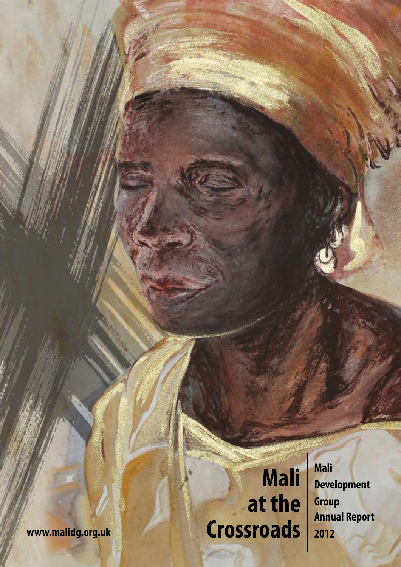**Mali at the www.malidg.org.uk Crossroads** **Mali Development Group Annual Report 201 2**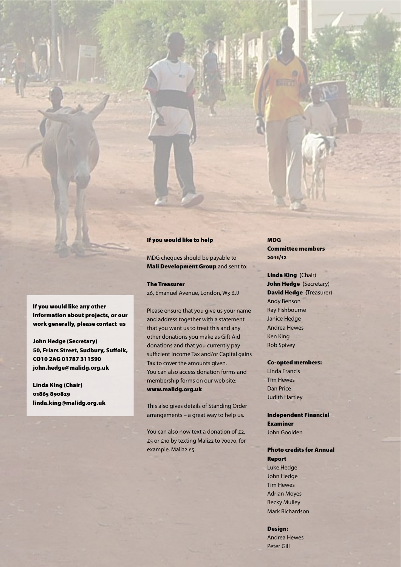### If you would like to help

MDG cheques should be payable to Mali Development Group and sent to:

### The Treasurer

26, Emanuel Avenue, London, W3 6JJ

Please ensure that you give us your name and address together with a statement that you want us to treat this and any other donations you make as Gift Aid donations and that you currently pay sufficient Income Tax and/or Capital gains Tax to cover the amounts given. You can also access donation forms and membership forms on our web site: www.malidg.org.uk

This also gives details of Standing Order arrangements – a great way to help us.

You can also now text a donation of £2. £5 or £10 by texting Mali22 to 70070, for example, Mali22 £5.

MDG Committee members 2011/12

Linda King **(**Chair) John Hedge **(**Secretary) David Hedge **(**Treasurer) Andy Benson Ray Fishbourne Janice Hedge Andrea Hewes Ken King Rob Spivey

#### Co-opted members:

Linda Francis Tim Hewes Dan Price Judith Hartley

Independent Financial Examiner John Goolden

Photo credits for Annual Report Luke Hedge John Hedge Tim Hewes Adrian Moyes Becky Mulley Mark Richardson

Design: Andrea Hewes Peter Gill

If you would like any other information about projects, or our work generally, please contact us

John Hedge (Secretary) 50, Friars Street, Sudbury, Suffolk, CO10 2AG 01787 311590 john.hedge@malidg.org.uk

Linda King (Chair) 01865 890829 linda.king@malidg.org.uk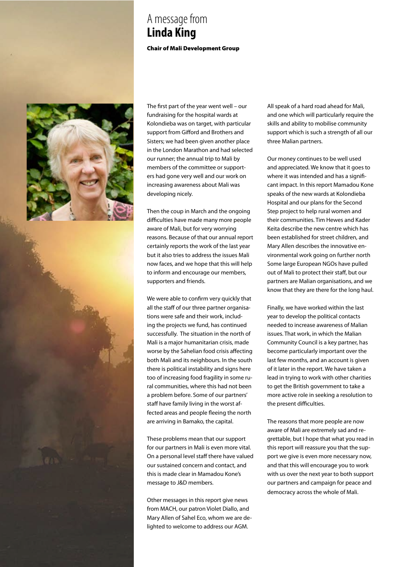## A message from **Linda King**

Chair of Mali Development Group



The first part of the year went well – our fundraising for the hospital wards at Kolondieba was on target, with particular support from Gifford and Brothers and Sisters; we had been given another place in the London Marathon and had selected our runner; the annual trip to Mali by members of the committee or supporters had gone very well and our work on increasing awareness about Mali was developing nicely.

Then the coup in March and the ongoing difficulties have made many more people aware of Mali, but for very worrying reasons. Because of that our annual report certainly reports the work of the last year but it also tries to address the issues Mali now faces, and we hope that this will help to inform and encourage our members, supporters and friends.

We were able to confirm very quickly that all the staff of our three partner organisations were safe and their work, including the projects we fund, has continued successfully. The situation in the north of Mali is a major humanitarian crisis, made worse by the Sahelian food crisis affecting both Mali and its neighbours. In the south there is political instability and signs here too of increasing food fragility in some rural communities, where this had not been a problem before. Some of our partners' staff have family living in the worst affected areas and people fleeing the north are arriving in Bamako, the capital.

These problems mean that our support for our partners in Mali is even more vital. On a personal level staff there have valued our sustained concern and contact, and this is made clear in Mamadou Kone's message to J&D members.

Other messages in this report give news from MACH, our patron Violet Diallo, and Mary Allen of Sahel Eco, whom we are delighted to welcome to address our AGM.

All speak of a hard road ahead for Mali, and one which will particularly require the skills and ability to mobilise community support which is such a strength of all our three Malian partners.

Our money continues to be well used and appreciated. We know that it goes to where it was intended and has a significant impact. In this report Mamadou Kone speaks of the new wards at Kolondieba Hospital and our plans for the Second Step project to help rural women and their communities. Tim Hewes and Kader Keita describe the new centre which has been established for street children, and Mary Allen describes the innovative environmental work going on further north Some large European NGOs have pulled out of Mali to protect their staff, but our partners are Malian organisations, and we know that they are there for the long haul.

Finally, we have worked within the last year to develop the political contacts needed to increase awareness of Malian issues. That work, in which the Malian Community Council is a key partner, has become particularly important over the last few months, and an account is given of it later in the report. We have taken a lead in trying to work with other charities to get the British government to take a more active role in seeking a resolution to the present difficulties.

The reasons that more people are now aware of Mali are extremely sad and regrettable, but I hope that what you read in this report will reassure you that the support we give is even more necessary now, and that this will encourage you to work with us over the next year to both support our partners and campaign for peace and democracy across the whole of Mali.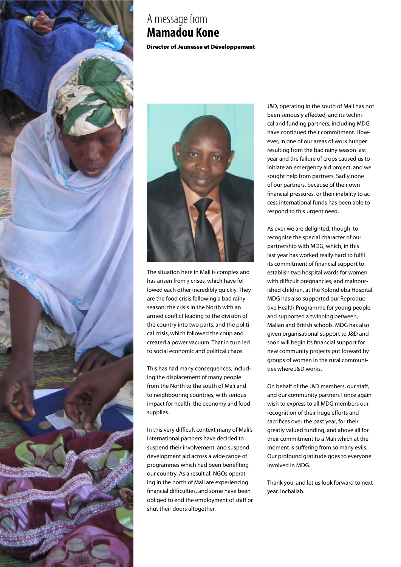

## A message from **Mamadou Kone**

Director of Jeunesse et Développement



The situation here in Mali is complex and has arisen from 3 crises, which have followed each other incredibly quickly. They are the food crisis following a bad rainy season; the crisis in the North with an armed conflict leading to the division of the country into two parts, and the political crisis, which followed the coup and created a power vacuum. That in turn led to social economic and political chaos.

This has had many consequences, including the displacement of many people from the North to the south of Mali and to neighbouring countries, with serious impact for health, the economy and food supplies.

In this very difficult context many of Mali's international partners have decided to suspend their involvement, and suspend development aid across a wide range of programmes which had been benefiting our country. As a result all NGOs operating in the north of Mali are experiencing financial difficulties, and some have been obliged to end the employment of staff or shut their doors altogether.

**Let us look forward**  J&D, operating in the south of Mali has not **to been seriously affected, and its techni**cal and funding partners, including MDG have continued their commitment. However, in one of our areas of work hunger resulting from the bad rainy season last year and the failure of crops caused us to initiate an emergency aid project, and we sought help from partners. Sadly none of our partners, because of their own financial pressures, or their inability to access international funds has been able to respond to this urgent need.

> As ever we are delighted, though, to recognise the special character of our partnership with MDG, which, in this last year has worked really hard to fulfil its commitment of financial support to establish two hospital wards for women with difficult pregnancies, and malnourished children, at the Kolondieba Hospital. MDG has also supported our Reproductive Health Programme for young people, and supported a twinning between, Malian and British schools. MDG has also given organisational support to J&D and soon will begin its financial support for new community projects put forward by groups of women in the rural communities where J&D works.

On behalf of the J&D members, our staff, and our community partners I once again wish to express to all MDG members our recognition of their huge efforts and sacrifices over the past year, for their greatly valued funding, and above all for their commitment to a Mali which at the moment is suffering from so many evils. Our profound gratitude goes to everyone involved in MDG.

Thank you, and let us look forward to next year. Inchallah.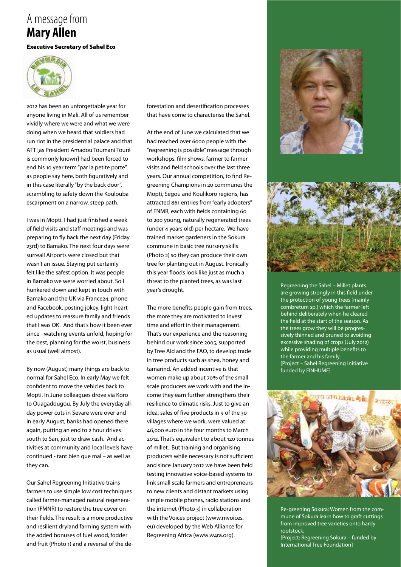## A message from **Mary Allen**

#### Executive Secretary of Sahel Eco



2012 has been an unforgettable year for anyone living in Mali. All of us remember vividly where we were and what we were doing when we heard that soldiers had run riot in the presidential palace and that ATT [as President Amadou Toumani Touré is commonly known] had been forced to end his 10 year term "par la petite porte" as people say here, both figuratively and in this case literally "by the back door", scrambling to safety down the Koulouba escarpment on a narrow, steep path.

I was in Mopti. I had just finished a week of field visits and staff meetings and was preparing to fly back the next day (Friday 23rd) to Bamako. The next four days were surreal! Airports were closed but that wasn't an issue. Staying put certainly felt like the safest option. It was people in Bamako we were worried about. So I hunkered down and kept in touch with Bamako and the UK via France24, phone and Facebook, posting jokey, light-hearted updates to reassure family and friends that I was OK. And that's how it been ever since - watching events unfold, hoping for the best, planning for the worst, business as usual (well almost).

By now (August) many things are back to normal for Sahel Eco. In early May we felt confident to move the vehicles back to Mopti. In June colleagues drove via Koro to Ouagadougou. By July the everyday allday power cuts in Sevare were over and in early August, banks had opened there again, putting an end to 2 hour drives south to San, just to draw cash. And activities at community and local levels have continued - tant bien que mal – as well as they can.

Our Sahel Regreening Initiative trains farmers to use simple low cost techniques called farmer-managed natural regeneration (FMNR) to restore the tree cover on their fields. The result is a more productive and resilient dryland farming system with the added bonuses of fuel wood, fodder and fruit (Photo 1) and a reversal of the deforestation and desertification processes that have come to characterise the Sahel.

At the end of June we calculated that we had reached over 6000 people with the "regreening is possible" message through workshops, film shows, farmer to farmer visits and field schools over the last three years. Our annual competition, to find Regreening Champions in 20 communes the Mopti, Segou and Koulikoro regions, has attracted 861 entries from "early adopters" of FNMR, each with fields containing 60 to 200 young, naturally regenerated trees (under 4 years old) per hectare. We have trained market gardeners in the Sokura commune in basic tree nursery skills (Photo 2) so they can produce their own tree for planting out in August. Ironically this year floods look like just as much a threat to the planted trees, as was last year's drought.

The more benefits people gain from trees, the more they are motivated to invest time and effort in their management. That's our experience and the reasoning behind our work since 2005, supported by Tree Aid and the FAO, to develop trade in tree products such as shea, honey and tamarind. An added incentive is that women make up about 70% of the small scale producers we work with and the income they earn further strengthens their resilience to climatic risks. Just to give an idea, sales of five products in 9 of the 30 villages where we work, were valued at 46,000 euro in the four months to March 2012. That's equivalent to about 120 tonnes of millet. But training and organising producers while necessary is not sufficient and since January 2012 we have been field testing innovative voice-based systems to link small scale farmers and entrepreneurs to new clients and distant markets using simple mobile phones, radio stations and the internet (Photo 3) in collaboration with the Voices project (www.mvoices. eu) developed by the Web Alliance for Regreening Africa (www.w4ra.org).





Regreening the Sahel – Millet plants are growing strongly in this field under the protection of young trees [mainly combretum sp.] which the farmer left behind deliberately when he cleared the field at the start of the season. As the trees grow they will be progressively thinned and pruned to avoiding excessive shading of crops (July 2012) while providing multiple benefits to the farmer and his family. [Project – Sahel Regreening Initiative funded by FINHUMF]



Re-greening Sokura: Women from the commune of Sokura learn how to graft cuttings from improved tree varieties onto hardy rootstock.

[Project: Regreening Sokura – funded by International Tree Foundation]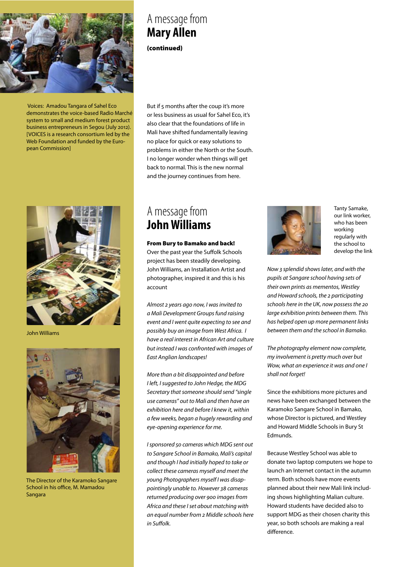

 Voices: Amadou Tangara of Sahel Eco demonstrates the voice-based Radio Marché system to small and medium forest product business entrepreneurs in Segou (July 2012). [VOICES is a research consortium led by the Web Foundation and funded by the European Commission]



John Williams



The Director of the Karamoko Sangare School in his office, M. Mamadou Sangara

## A message from **Mary Allen**

(continued)

But if 5 months after the coup it's more or less business as usual for Sahel Eco, it's also clear that the foundations of life in Mali have shifted fundamentally leaving no place for quick or easy solutions to problems in either the North or the South. I no longer wonder when things will get back to normal. This is the new normal and the journey continues from here.

### A message from **John Williams**

account

From Bury to Bamako and back! Over the past year the Suffolk Schools project has been steadily developing. John Williams, an Installation Artist and photographer, inspired it and this is his

Almost 2 years ago now, I was invited to a Mali Development Groups fund raising event and I went quite expecting to see and possibly buy an image from West Africa. I have a real interest in African Art and culture but instead I was confronted with images of East Anglian landscapes!

More than a bit disappointed and before I left, I suggested to John Hedge, the MDG Secretary that someone should send "single use cameras" out to Mali and then have an exhibition here and before I knew it, within a few weeks, began a hugely rewarding and eye-opening experience for me.

I sponsored 50 cameras which MDG sent out to Sangare School in Bamako, Mali's capital and though I had initially hoped to take or collect these cameras myself and meet the young Photographers myself I was disappointingly unable to. However 38 cameras returned producing over 900 images from Africa and these I set about matching with an equal number from 2 Middle schools here in Suffolk.



Tanty Samake, our link worker, who has been working regularly with the school to develop the link

Now 3 splendid shows later, and with the pupils at Sangare school having sets of their own prints as mementos, Westley and Howard schools, the 2 participating schools here in the UK, now possess the 20 large exhibition prints between them. This has helped open up more permanent links between them and the school in Bamako.

The photography element now complete, my involvement is pretty much over but Wow, what an experience it was and one I shall not forget!

Since the exhibitions more pictures and news have been exchanged between the Karamoko Sangare School in Bamako, whose Director is pictured, and Westley and Howard Middle Schools in Bury St Edmunds.

Because Westley School was able to donate two laptop computers we hope to launch an Internet contact in the autumn term. Both schools have more events planned about their new Mali link including shows highlighting Malian culture. Howard students have decided also to support MDG as their chosen charity this year, so both schools are making a real difference.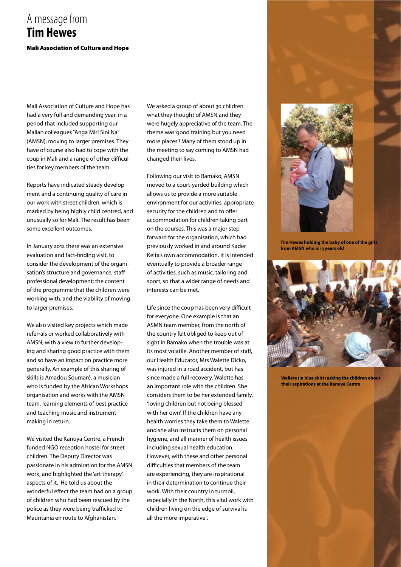### Mali Association of Culture and Hope A message from **Tim Hewes**

Mali Association of Culture and Hope has had a very full and demanding year, in a period that included supporting our Malian colleagues "Anga Miri Sini Na" (AMSN), moving to larger premises. They have of course also had to cope with the coup in Mali and a range of other difficulties for key members of the team.

Reports have indicated steady development and a continuing quality of care in our work with street children, which is marked by being highly child centred, and unusually so for Mali. The result has been some excellent outcomes.

In January 2012 there was an extensive evaluation and fact-finding visit, to consider the development of the organisation's structure and governance; staff professional development; the content of the programme that the children were working with, and the viability of moving to larger premises.

We also visited key projects which made referrals or worked collaboratively with AMSN, with a view to further developing and sharing good practice with them and so have an impact on practice more generally. An example of this sharing of skills is Amadou Soumaré, a musician who is funded by the African Workshops organisation and works with the AMSN team, learning elements of best practice and teaching music and instrument making in return.

We visited the Kanuya Centre, a French funded NGO reception hostel for street children. The Deputy Director was passionate in his admiration for the AMSN work, and highlighted the 'art therapy' aspects of it. He told us about the wonderful effect the team had on a group of children who had been rescued by the police as they were being trafficked to Mauritania en route to Afghanistan.

We asked a group of about 30 children what they thought of AMSN and they were hugely appreciative of the team. The theme was 'good training but you need more places'! Many of them stood up in the meeting to say coming to AMSN had changed their lives.

Following our visit to Bamako, AMSN moved to a court-yarded building which allows us to provide a more suitable environment for our activities, appropriate security for the children and to offer accommodation for children taking part on the courses. This was a major step forward for the organisation, which had previously worked in and around Kader Keita's own accommodation. It is intended eventually to provide a broader range of activities, such as music, tailoring and sport, so that a wider range of needs and interests can be met.

Life since the coup has been very difficult for everyone. One example is that an ASMN team member, from the north of the country felt obliged to keep out of sight in Bamako when the trouble was at its most volatile. Another member of staff, our Health Educator, Mrs Walette Dicko, was injured in a road accident, but has since made a full recovery. Walette has an important role with the children. She considers them to be her extended family, 'loving children but not being blessed with her own'. If the children have any health worries they take them to Walette and she also instructs them on personal hygiene, and all manner of health issues including sexual health education. However, with these and other personal difficulties that members of the team are experiencing, they are inspirational in their determination to continue their work. With their country in turmoil, especially in the North, this vital work with children living on the edge of survival is all the more imperative .



**Tim Hewes holding the baby of one of the girls from AMSN who is 13 years old**



**Wallete (in blue shirt) asking the children about their aspirations at the Kanuye Centre**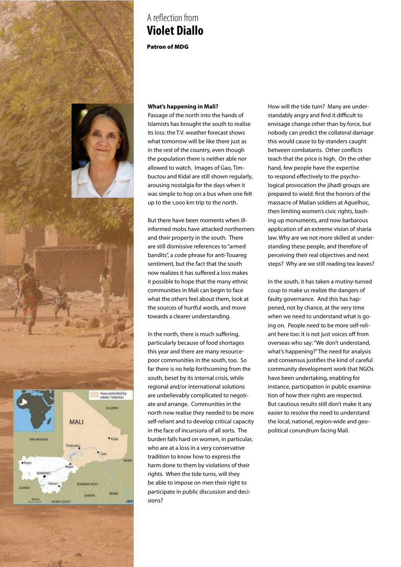

## A reflection from **Violet Diallo**

Patron of MDG

### **What's happening in Mali?**

Passage of the north into the hands of Islamists has brought the south to realise its loss: the T.V. weather forecast shows what tomorrow will be like there just as in the rest of the country, even though the population there is neither able nor allowed to watch. Images of Gao, Timbuctou and Kidal are still shown regularly, arousing nostalgia for the days when it was simple to hop on a bus when one felt up to the 1,000 km trip to the north.

But there have been moments when illinformed mobs have attacked northerners and their property in the south. There are still dismissive references to "armed bandits", a code phrase for anti-Touareg sentiment, but the fact that the south now realizes it has suffered a loss makes it possible to hope that the many ethnic communities in Mali can begin to face what the others feel about them, look at the sources of hurtful words, and move towards a clearer understanding.

In the north, there is much suffering, particularly because of food shortages this year and there are many resourcepoor communities in the south, too. So far there is no help forthcoming from the south, beset by its internal crisis, while regional and/or international solutions are unbelievably complicated to negotiate and arrange. Communities in the north now realise they needed to be more self-reliant and to develop critical capacity in the face of incursions of all sorts. The burden falls hard on women, in particular, who are at a loss in a very conservative tradition to know how to express the harm done to them by violations of their rights. When the tide turns, will they be able to impose on men their right to participate in public discussion and decisions?

How will the tide turn? Many are understandably angry and find it difficult to envisage change other than by force, but nobody can predict the collateral damage this would cause to by-standers caught between combatants. Other conflicts teach that the price is high. On the other hand, few people have the expertise to respond effectively to the psychological provocation the jihadi groups are prepared to wield: first the horrors of the massacre of Malian soldiers at Aguelhoc, then limiting women's civic rights, bashing up monuments, and now barbarous application of an extreme vision of sharia law. Why are we not more skilled at understanding these people, and therefore of perceiving their real objectives and next steps? Why are we still reading tea leaves?

In the south, it has taken a mutiny-turned coup to make us realize the dangers of faulty governance. And this has happened, not by chance, at the very time when we need to understand what is going on. People need to be more self-reliant here too: it is not just voices off from overseas who say: "We don't understand, what's happening?" The need for analysis and consensus justifies the kind of careful community development work that NGOs have been undertaking, enabling for instance, participation in public examination of how their rights are respected. But cautious results still don't make it any easier to resolve the need to understand the local, national, region-wide and geopolitical conundrum facing Mali.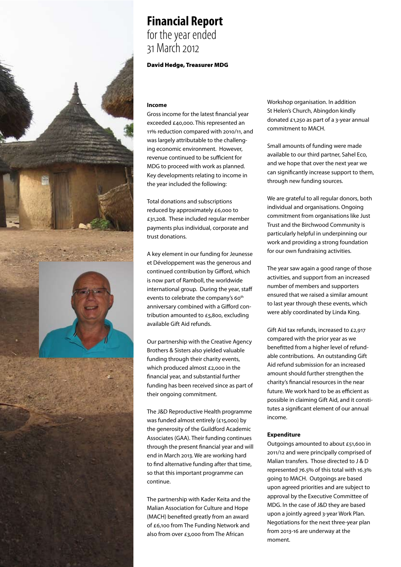## **Financial Report** for the year ended 31 March 2012

#### David Hedge, Treasurer MDG

#### **Income**

Gross income for the latest financial year exceeded £40,000. This represented an 11% reduction compared with 2010/11, and was largely attributable to the challenging economic environment. However, revenue continued to be sufficient for MDG to proceed with work as planned. Key developments relating to income in the year included the following:

Total donations and subscriptions reduced by approximately £6,000 to £31,208. These included regular member payments plus individual, corporate and trust donations.

A key element in our funding for Jeunesse et Développement was the generous and continued contribution by Gifford, which is now part of Ramboll, the worldwide international group. During the year, staff events to celebrate the company's 60<sup>th</sup> anniversary combined with a Gifford contribution amounted to £5,800, excluding available Gift Aid refunds.

Our partnership with the Creative Agency Brothers & Sisters also yielded valuable funding through their charity events, which produced almost £2,000 in the financial year, and substantial further funding has been received since as part of their ongoing commitment.

The J&D Reproductive Health programme was funded almost entirely (£15,000) by the generosity of the Guildford Academic Associates (GAA). Their funding continues through the present financial year and will end in March 2013. We are working hard to find alternative funding after that time, so that this important programme can continue.

The partnership with Kader Keita and the Malian Association for Culture and Hope (MACH) benefited greatly from an award of £6,100 from The Funding Network and also from over £3,000 from The African

Workshop organisation. In addition St Helen's Church, Abingdon kindly donated £1,250 as part of a 3-year annual commitment to MACH.

Small amounts of funding were made available to our third partner, Sahel Eco, and we hope that over the next year we can significantly increase support to them, through new funding sources.

We are grateful to all regular donors, both individual and organisations. Ongoing commitment from organisations like Just Trust and the Birchwood Community is particularly helpful in underpinning our work and providing a strong foundation for our own fundraising activities.

The year saw again a good range of those activities, and support from an increased number of members and supporters ensured that we raised a similar amount to last year through these events, which were ably coordinated by Linda King.

Gift Aid tax refunds, increased to £2,917 compared with the prior year as we benefitted from a higher level of refundable contributions. An outstanding Gift Aid refund submission for an increased amount should further strengthen the charity's financial resources in the near future. We work hard to be as efficient as possible in claiming Gift Aid, and it constitutes a significant element of our annual income.

#### **Expenditure**

Outgoings amounted to about £51,600 in 2011/12 and were principally comprised of Malian transfers. Those directed to J & D represented 76.5% of this total with 16.3% going to MACH. Outgoings are based upon agreed priorities and are subject to approval by the Executive Committee of MDG. In the case of J&D they are based upon a jointly agreed 3-year Work Plan. Negotiations for the next three-year plan from 2013-16 are underway at the moment.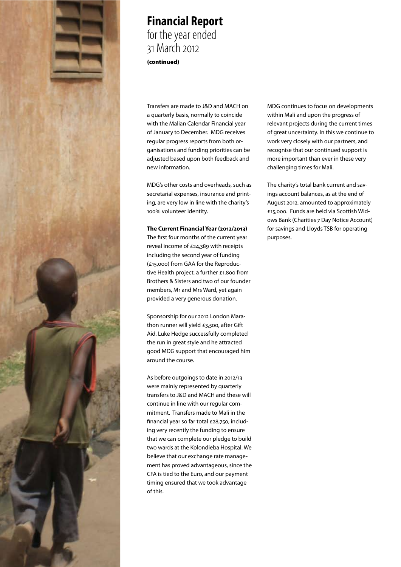

### **Financial Report** for the year ended 31 March 2012 (continued)

Transfers are made to J&D and MACH on a quarterly basis, normally to coincide with the Malian Calendar Financial year of January to December. MDG receives regular progress reports from both organisations and funding priorities can be adjusted based upon both feedback and new information.

MDG's other costs and overheads, such as secretarial expenses, insurance and printing, are very low in line with the charity's 100% volunteer identity.

#### **The Current Financial Year (2012/2013)**

The first four months of the current year reveal income of £24,389 with receipts including the second year of funding (£15,000) from GAA for the Reproductive Health project, a further £1,800 from Brothers & Sisters and two of our founder members, Mr and Mrs Ward, yet again provided a very generous donation.

Sponsorship for our 2012 London Marathon runner will yield £3,500, after Gift Aid. Luke Hedge successfully completed the run in great style and he attracted good MDG support that encouraged him around the course.

As before outgoings to date in 2012/13 were mainly represented by quarterly transfers to J&D and MACH and these will continue in line with our regular commitment. Transfers made to Mali in the financial year so far total £28,750, including very recently the funding to ensure that we can complete our pledge to build two wards at the Kolondieba Hospital. We believe that our exchange rate management has proved advantageous, since the CFA is tied to the Euro, and our payment timing ensured that we took advantage of this.

MDG continues to focus on developments within Mali and upon the progress of relevant projects during the current times of great uncertainty. In this we continue to work very closely with our partners, and recognise that our continued support is more important than ever in these very challenging times for Mali.

The charity's total bank current and savings account balances, as at the end of August 2012, amounted to approximately £15,000. Funds are held via Scottish Widows Bank (Charities 7 Day Notice Account) for savings and Lloyds TSB for operating purposes.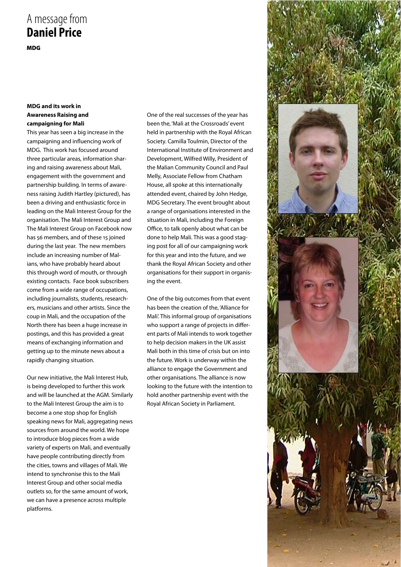# A message from **Daniel Price**

MDG

### **MDG and its work in Awareness Raising and campaigning for Mali**

This year has seen a big increase in the campaigning and influencing work of MDG. This work has focused around three particular areas, information sharing and raising awareness about Mali, engagement with the government and partnership building. In terms of awareness raising Judith Hartley (pictured), has been a driving and enthusiastic force in leading on the Mali Interest Group for the organisation. The Mali Interest Group and The Mali Interest Group on Facebook now has 56 members, and of these 15 joined during the last year. The new members include an increasing number of Malians, who have probably heard about this through word of mouth, or through existing contacts. Face book subscribers come from a wide range of occupations, including journalists, students, researchers, musicians and other artists. Since the coup in Mali, and the occupation of the North there has been a huge increase in postings, and this has provided a great means of exchanging information and getting up to the minute news about a rapidly changing situation.

Our new initiative, the Mali Interest Hub, is being developed to further this work and will be launched at the AGM. Similarly to the Mali Interest Group the aim is to become a one stop shop for English speaking news for Mali, aggregating news sources from around the world. We hope to introduce blog pieces from a wide variety of experts on Mali, and eventually have people contributing directly from the cities, towns and villages of Mali. We intend to synchronise this to the Mali Interest Group and other social media outlets so, for the same amount of work, we can have a presence across multiple platforms.

One of the real successes of the year has been the, 'Mali at the Crossroads' event held in partnership with the Royal African Society. Camilla Toulmin, Director of the International Institute of Environment and Development, Wilfred Willy, President of the Malian Community Council and Paul Melly, Associate Fellow from Chatham House, all spoke at this internationally attended event, chaired by John Hedge, MDG Secretary. The event brought about a range of organisations interested in the situation in Mali, including the Foreign Office, to talk openly about what can be done to help Mali. This was a good staging post for all of our campaigning work for this year and into the future, and we thank the Royal African Society and other organisations for their support in organising the event.

One of the big outcomes from that event has been the creation of the, 'Alliance for Mali'. This informal group of organisations who support a range of projects in different parts of Mali intends to work together to help decision makers in the UK assist Mali both in this time of crisis but on into the future. Work is underway within the alliance to engage the Government and other organisations. The alliance is now looking to the future with the intention to hold another partnership event with the Royal African Society in Parliament.